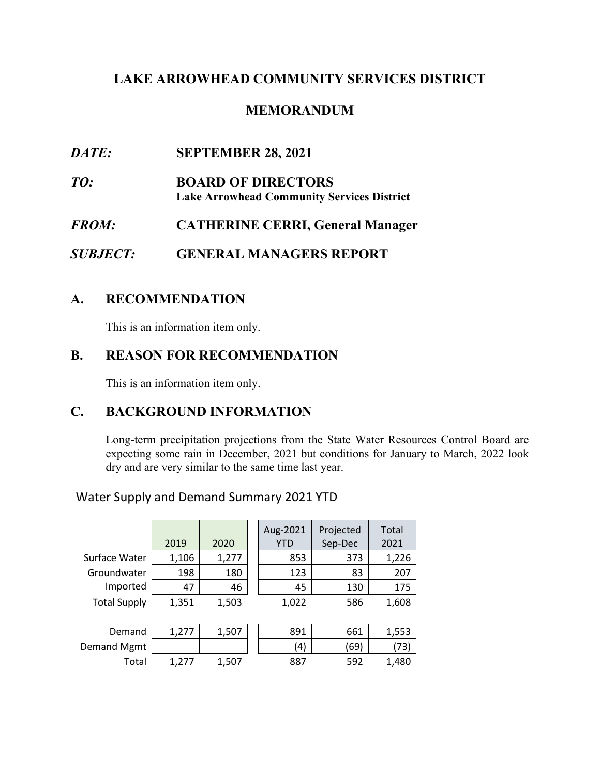### **LAKE ARROWHEAD COMMUNITY SERVICES DISTRICT**

# **MEMORANDUM**

# *DATE:* **SEPTEMBER 28, 2021**

- *TO:* **BOARD OF DIRECTORS Lake Arrowhead Community Services District**
- *FROM:* **CATHERINE CERRI, General Manager**
- *SUBJECT:* **GENERAL MANAGERS REPORT**

### **A. RECOMMENDATION**

This is an information item only.

# **B. REASON FOR RECOMMENDATION**

This is an information item only.

# **C. BACKGROUND INFORMATION**

Long-term precipitation projections from the State Water Resources Control Board are expecting some rain in December, 2021 but conditions for January to March, 2022 look dry and are very similar to the same time last year.

#### Water Supply and Demand Summary 2021 YTD

|                     |       |       | Aug-2021   | Projected | Total |  |  |
|---------------------|-------|-------|------------|-----------|-------|--|--|
|                     | 2019  | 2020  | <b>YTD</b> | Sep-Dec   | 2021  |  |  |
| Surface Water       | 1,106 | 1,277 | 853        | 373       | 1,226 |  |  |
| Groundwater         | 198   | 180   | 123        | 83        | 207   |  |  |
| Imported            | 47    | 46    | 45         | 130       | 175   |  |  |
| <b>Total Supply</b> | 1,351 | 1,503 | 1,022      | 586       | 1,608 |  |  |
|                     |       |       |            |           |       |  |  |
| Demand              | 1,277 | 1,507 | 891        | 661       | 1,553 |  |  |
| Demand Mgmt         |       |       | (4)        | (69)      | (73)  |  |  |
| Total               | 1,277 | 1,507 | 887        | 592       | 1,480 |  |  |